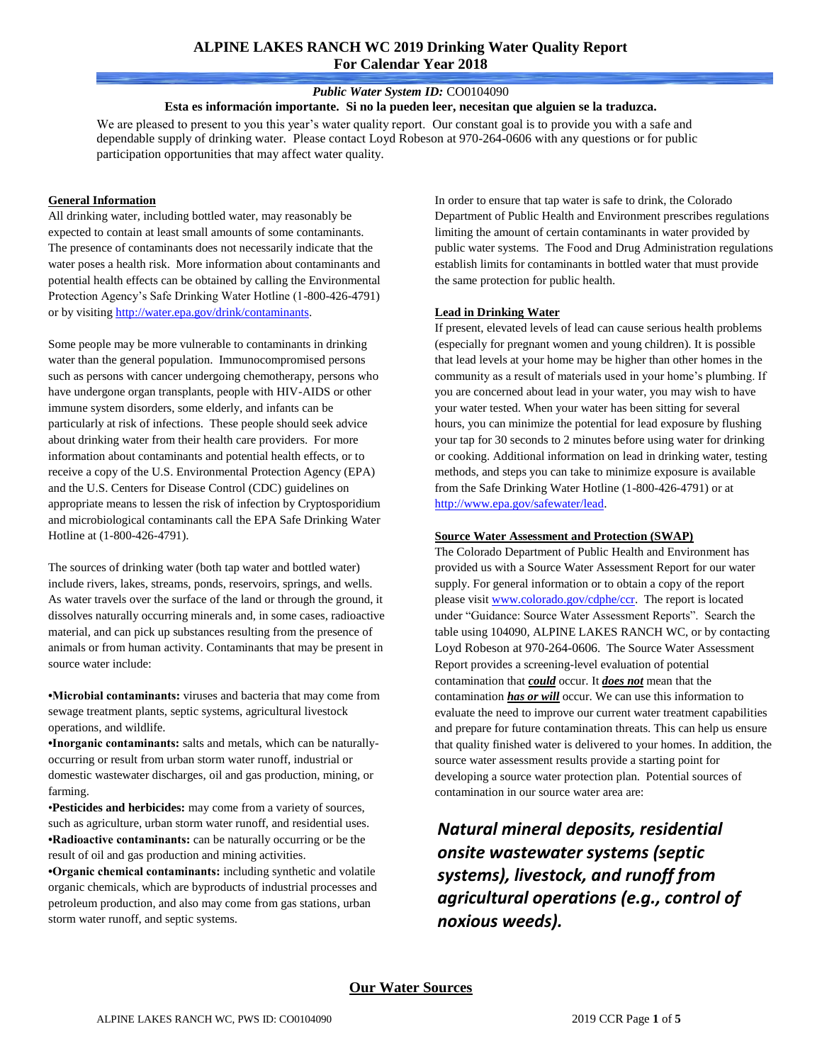# **ALPINE LAKES RANCH WC 2019 Drinking Water Quality Report For Calendar Year 2018**

#### *Public Water System ID:* CO0104090

**Esta es información importante. Si no la pueden leer, necesitan que alguien se la traduzca.**

We are pleased to present to you this year's water quality report. Our constant goal is to provide you with a safe and dependable supply of drinking water. Please contact Loyd Robeson at 970-264-0606 with any questions or for public participation opportunities that may affect water quality.

#### **General Information**

All drinking water, including bottled water, may reasonably be expected to contain at least small amounts of some contaminants. The presence of contaminants does not necessarily indicate that the water poses a health risk. More information about contaminants and potential health effects can be obtained by calling the Environmental Protection Agency's Safe Drinking Water Hotline (1-800-426-4791) or by visitin[g http://water.epa.gov/drink/contaminants.](http://water.epa.gov/drink/contaminants)

Some people may be more vulnerable to contaminants in drinking water than the general population. Immunocompromised persons such as persons with cancer undergoing chemotherapy, persons who have undergone organ transplants, people with HIV-AIDS or other immune system disorders, some elderly, and infants can be particularly at risk of infections. These people should seek advice about drinking water from their health care providers. For more information about contaminants and potential health effects, or to receive a copy of the U.S. Environmental Protection Agency (EPA) and the U.S. Centers for Disease Control (CDC) guidelines on appropriate means to lessen the risk of infection by Cryptosporidium and microbiological contaminants call the EPA Safe Drinking Water Hotline at (1-800-426-4791).

The sources of drinking water (both tap water and bottled water) include rivers, lakes, streams, ponds, reservoirs, springs, and wells. As water travels over the surface of the land or through the ground, it dissolves naturally occurring minerals and, in some cases, radioactive material, and can pick up substances resulting from the presence of animals or from human activity. Contaminants that may be present in source water include:

**•Microbial contaminants:** viruses and bacteria that may come from sewage treatment plants, septic systems, agricultural livestock operations, and wildlife.

**•Inorganic contaminants:** salts and metals, which can be naturallyoccurring or result from urban storm water runoff, industrial or domestic wastewater discharges, oil and gas production, mining, or farming.

•**Pesticides and herbicides:** may come from a variety of sources, such as agriculture, urban storm water runoff, and residential uses. **•Radioactive contaminants:** can be naturally occurring or be the result of oil and gas production and mining activities.

**•Organic chemical contaminants:** including synthetic and volatile organic chemicals, which are byproducts of industrial processes and petroleum production, and also may come from gas stations, urban storm water runoff, and septic systems.

In order to ensure that tap water is safe to drink, the Colorado Department of Public Health and Environment prescribes regulations limiting the amount of certain contaminants in water provided by public water systems. The Food and Drug Administration regulations establish limits for contaminants in bottled water that must provide the same protection for public health.

#### **Lead in Drinking Water**

If present, elevated levels of lead can cause serious health problems (especially for pregnant women and young children). It is possible that lead levels at your home may be higher than other homes in the community as a result of materials used in your home's plumbing. If you are concerned about lead in your water, you may wish to have your water tested. When your water has been sitting for several hours, you can minimize the potential for lead exposure by flushing your tap for 30 seconds to 2 minutes before using water for drinking or cooking. Additional information on lead in drinking water, testing methods, and steps you can take to minimize exposure is available from the Safe Drinking Water Hotline (1-800-426-4791) or at [http://www.epa.gov/safewater/lead.](http://www.epa.gov/safewater/lead)

#### **Source Water Assessment and Protection (SWAP)**

The Colorado Department of Public Health and Environment has provided us with a Source Water Assessment Report for our water supply. For general information or to obtain a copy of the report please visi[t www.colorado.gov/cdphe/ccr.](https://www.colorado.gov/cdphe/ccr) The report is located under "Guidance: Source Water Assessment Reports". Search the table using 104090, ALPINE LAKES RANCH WC, or by contacting Loyd Robeson at 970-264-0606. The Source Water Assessment Report provides a screening-level evaluation of potential contamination that *could* occur. It *does not* mean that the contamination *has or will* occur. We can use this information to evaluate the need to improve our current water treatment capabilities and prepare for future contamination threats. This can help us ensure that quality finished water is delivered to your homes. In addition, the source water assessment results provide a starting point for developing a source water protection plan. Potential sources of contamination in our source water area are:

*Natural mineral deposits, residential onsite wastewater systems (septic systems), livestock, and runoff from agricultural operations (e.g., control of noxious weeds).*

## **Our Water Sources**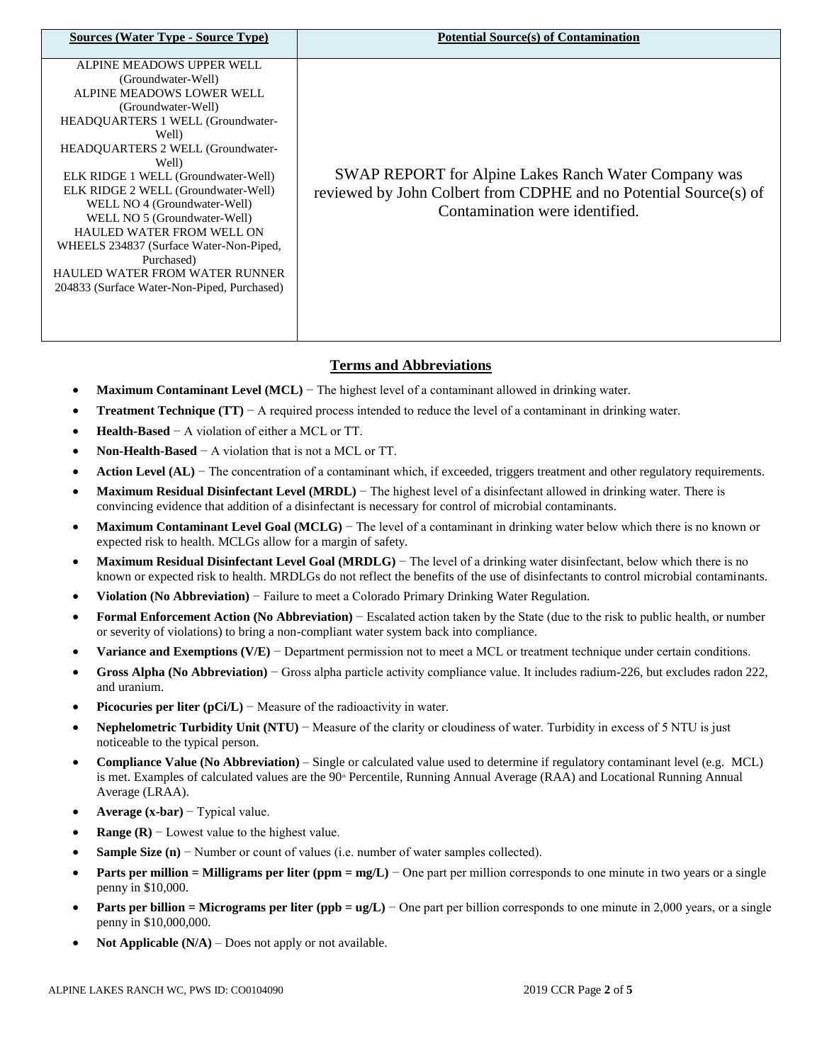| <b>Sources (Water Type - Source Type)</b>                                                                                                                                                                                                                                                                                                                                                                                                                                                                                                | <b>Potential Source(s) of Contamination</b>                                                                                                                        |
|------------------------------------------------------------------------------------------------------------------------------------------------------------------------------------------------------------------------------------------------------------------------------------------------------------------------------------------------------------------------------------------------------------------------------------------------------------------------------------------------------------------------------------------|--------------------------------------------------------------------------------------------------------------------------------------------------------------------|
| ALPINE MEADOWS UPPER WELL<br>(Groundwater-Well)<br>ALPINE MEADOWS LOWER WELL<br>(Groundwater-Well)<br><b>HEADQUARTERS 1 WELL (Groundwater-</b><br>Well)<br><b>HEADOUARTERS 2 WELL (Groundwater-</b><br>Well)<br>ELK RIDGE 1 WELL (Groundwater-Well)<br>ELK RIDGE 2 WELL (Groundwater-Well)<br>WELL NO 4 (Groundwater-Well)<br>WELL NO 5 (Groundwater-Well)<br><b>HAULED WATER FROM WELL ON</b><br>WHEELS 234837 (Surface Water-Non-Piped,<br>Purchased)<br>HAULED WATER FROM WATER RUNNER<br>204833 (Surface Water-Non-Piped, Purchased) | <b>SWAP REPORT</b> for Alpine Lakes Ranch Water Company was<br>reviewed by John Colbert from CDPHE and no Potential Source(s) of<br>Contamination were identified. |

# **Terms and Abbreviations**

- **Maximum Contaminant Level (MCL)** − The highest level of a contaminant allowed in drinking water.
- **Treatment Technique (TT)**  $A$  required process intended to reduce the level of a contaminant in drinking water.
- **Health-Based** − A violation of either a MCL or TT.
- **Non-Health-Based** − A violation that is not a MCL or TT.
- Action Level (AL) − The concentration of a contaminant which, if exceeded, triggers treatment and other regulatory requirements.
- **Maximum Residual Disinfectant Level (MRDL)** − The highest level of a disinfectant allowed in drinking water. There is convincing evidence that addition of a disinfectant is necessary for control of microbial contaminants.
- **Maximum Contaminant Level Goal (MCLG)** − The level of a contaminant in drinking water below which there is no known or expected risk to health. MCLGs allow for a margin of safety.
- **Maximum Residual Disinfectant Level Goal (MRDLG)** − The level of a drinking water disinfectant, below which there is no known or expected risk to health. MRDLGs do not reflect the benefits of the use of disinfectants to control microbial contaminants.
- **Violation (No Abbreviation)** − Failure to meet a Colorado Primary Drinking Water Regulation.
- **Formal Enforcement Action (No Abbreviation)** − Escalated action taken by the State (due to the risk to public health, or number or severity of violations) to bring a non-compliant water system back into compliance.
- **Variance and Exemptions (V/E)** − Department permission not to meet a MCL or treatment technique under certain conditions.
- **Gross Alpha (No Abbreviation)** − Gross alpha particle activity compliance value. It includes radium-226, but excludes radon 222, and uranium.
- **Picocuries per liter (pCi/L)** − Measure of the radioactivity in water.
- **Nephelometric Turbidity Unit (NTU)** − Measure of the clarity or cloudiness of water. Turbidity in excess of 5 NTU is just noticeable to the typical person.
- **Compliance Value (No Abbreviation)** Single or calculated value used to determine if regulatory contaminant level (e.g. MCL) is met. Examples of calculated values are the 90<sup>th</sup> Percentile, Running Annual Average (RAA) and Locational Running Annual Average (LRAA).
- **Average (x-bar)** − Typical value.
- **Range (R)**  $-$  Lowest value to the highest value.
- **Sample Size (n)** − Number or count of values (i.e. number of water samples collected).
- **Parts per million = Milligrams per liter (ppm = mg/L)** − One part per million corresponds to one minute in two years or a single penny in \$10,000.
- **Parts per billion = Micrograms per liter (ppb = ug/L)** − One part per billion corresponds to one minute in 2,000 years, or a single penny in \$10,000,000.
- **Not Applicable (N/A)** Does not apply or not available.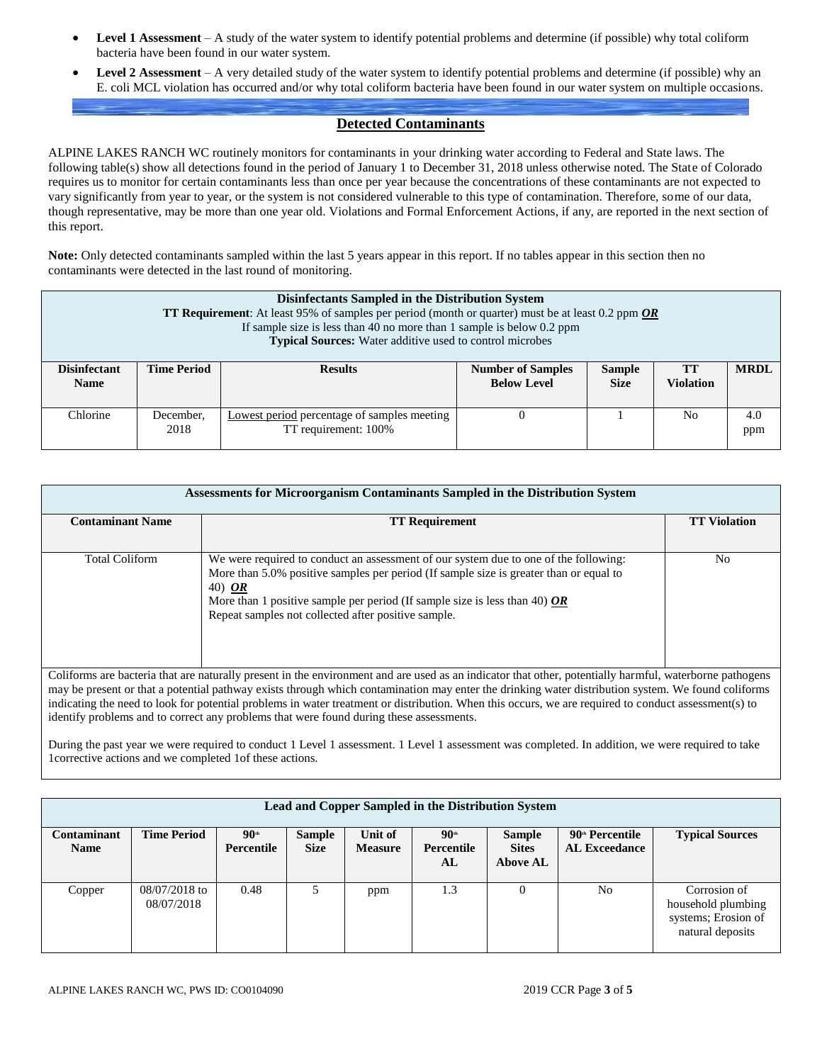- **Level 1 Assessment** A study of the water system to identify potential problems and determine (if possible) why total coliform bacteria have been found in our water system.
- **Level 2 Assessment** A very detailed study of the water system to identify potential problems and determine (if possible) why an E. coli MCL violation has occurred and/or why total coliform bacteria have been found in our water system on multiple occasions.

## **Detected Contaminants**

ALPINE LAKES RANCH WC routinely monitors for contaminants in your drinking water according to Federal and State laws. The following table(s) show all detections found in the period of January 1 to December 31, 2018 unless otherwise noted. The State of Colorado requires us to monitor for certain contaminants less than once per year because the concentrations of these contaminants are not expected to vary significantly from year to year, or the system is not considered vulnerable to this type of contamination. Therefore, some of our data, though representative, may be more than one year old. Violations and Formal Enforcement Actions, if any, are reported in the next section of this report.

**Note:** Only detected contaminants sampled within the last 5 years appear in this report. If no tables appear in this section then no contaminants were detected in the last round of monitoring.

| Disinfectants Sampled in the Distribution System<br><b>TT Requirement:</b> At least 95% of samples per period (month or quarter) must be at least 0.2 ppm $\overline{OR}$<br>If sample size is less than 40 no more than 1 sample is below $0.2$ ppm<br><b>Typical Sources:</b> Water additive used to control microbes |                    |                                                                     |                                                |                              |                               |             |  |  |  |  |
|-------------------------------------------------------------------------------------------------------------------------------------------------------------------------------------------------------------------------------------------------------------------------------------------------------------------------|--------------------|---------------------------------------------------------------------|------------------------------------------------|------------------------------|-------------------------------|-------------|--|--|--|--|
| <b>Disinfectant</b><br><b>Name</b>                                                                                                                                                                                                                                                                                      | <b>Time Period</b> | <b>Results</b>                                                      | <b>Number of Samples</b><br><b>Below Level</b> | <b>Sample</b><br><b>Size</b> | <b>TT</b><br><b>Violation</b> | <b>MRDL</b> |  |  |  |  |
| Chlorine                                                                                                                                                                                                                                                                                                                | December.<br>2018  | Lowest period percentage of samples meeting<br>TT requirement: 100% |                                                |                              | No                            | 4.0<br>ppm  |  |  |  |  |

| Assessments for Microorganism Contaminants Sampled in the Distribution System                                                                        |                                                                                                                                                         |     |  |  |  |  |  |  |  |  |
|------------------------------------------------------------------------------------------------------------------------------------------------------|---------------------------------------------------------------------------------------------------------------------------------------------------------|-----|--|--|--|--|--|--|--|--|
| <b>TT Requirement</b>                                                                                                                                |                                                                                                                                                         |     |  |  |  |  |  |  |  |  |
| <b>Contaminant Name</b>                                                                                                                              | <b>TT Violation</b>                                                                                                                                     |     |  |  |  |  |  |  |  |  |
|                                                                                                                                                      |                                                                                                                                                         |     |  |  |  |  |  |  |  |  |
| <b>Total Coliform</b>                                                                                                                                | We were required to conduct an assessment of our system due to one of the following:                                                                    | No. |  |  |  |  |  |  |  |  |
|                                                                                                                                                      | More than 5.0% positive samples per period (If sample size is greater than or equal to                                                                  |     |  |  |  |  |  |  |  |  |
|                                                                                                                                                      | 40) OR                                                                                                                                                  |     |  |  |  |  |  |  |  |  |
|                                                                                                                                                      | More than 1 positive sample per period (If sample size is less than 40) $OR$                                                                            |     |  |  |  |  |  |  |  |  |
|                                                                                                                                                      | Repeat samples not collected after positive sample.                                                                                                     |     |  |  |  |  |  |  |  |  |
|                                                                                                                                                      |                                                                                                                                                         |     |  |  |  |  |  |  |  |  |
|                                                                                                                                                      |                                                                                                                                                         |     |  |  |  |  |  |  |  |  |
|                                                                                                                                                      |                                                                                                                                                         |     |  |  |  |  |  |  |  |  |
|                                                                                                                                                      | Coliforms are bacteria that are naturally present in the environment and are used as an indicator that other, potentially harmful, waterborne pathogens |     |  |  |  |  |  |  |  |  |
| may be present or that a potential pathway exists through which contamination may enter the drinking water distribution system. We found coliforms   |                                                                                                                                                         |     |  |  |  |  |  |  |  |  |
| indicating the need to look for potential problems in water treatment or distribution. When this occurs, we are required to conduct assessment(s) to |                                                                                                                                                         |     |  |  |  |  |  |  |  |  |
| identify problems and to correct any problems that were found during these assessments.                                                              |                                                                                                                                                         |     |  |  |  |  |  |  |  |  |

During the past year we were required to conduct 1 Level 1 assessment. 1 Level 1 assessment was completed. In addition, we were required to take 1corrective actions and we completed 1of these actions.

| Lead and Copper Sampled in the Distribution System |                             |                                  |                              |                           |                                        |                                                  |                                                     |                                                                               |  |  |  |
|----------------------------------------------------|-----------------------------|----------------------------------|------------------------------|---------------------------|----------------------------------------|--------------------------------------------------|-----------------------------------------------------|-------------------------------------------------------------------------------|--|--|--|
| Contaminant<br><b>Name</b>                         | <b>Time Period</b>          | $90$ <sup>th</sup><br>Percentile | <b>Sample</b><br><b>Size</b> | Unit of<br><b>Measure</b> | $90$ <sup>th</sup><br>Percentile<br>AL | <b>Sample</b><br><b>Sites</b><br><b>Above AL</b> | $90^{\text{th}}$ Percentile<br><b>AL Exceedance</b> | <b>Typical Sources</b>                                                        |  |  |  |
| Copper                                             | 08/07/2018 to<br>08/07/2018 | 0.48                             |                              | ppm                       | 1.3                                    |                                                  | No                                                  | Corrosion of<br>household plumbing<br>systems; Erosion of<br>natural deposits |  |  |  |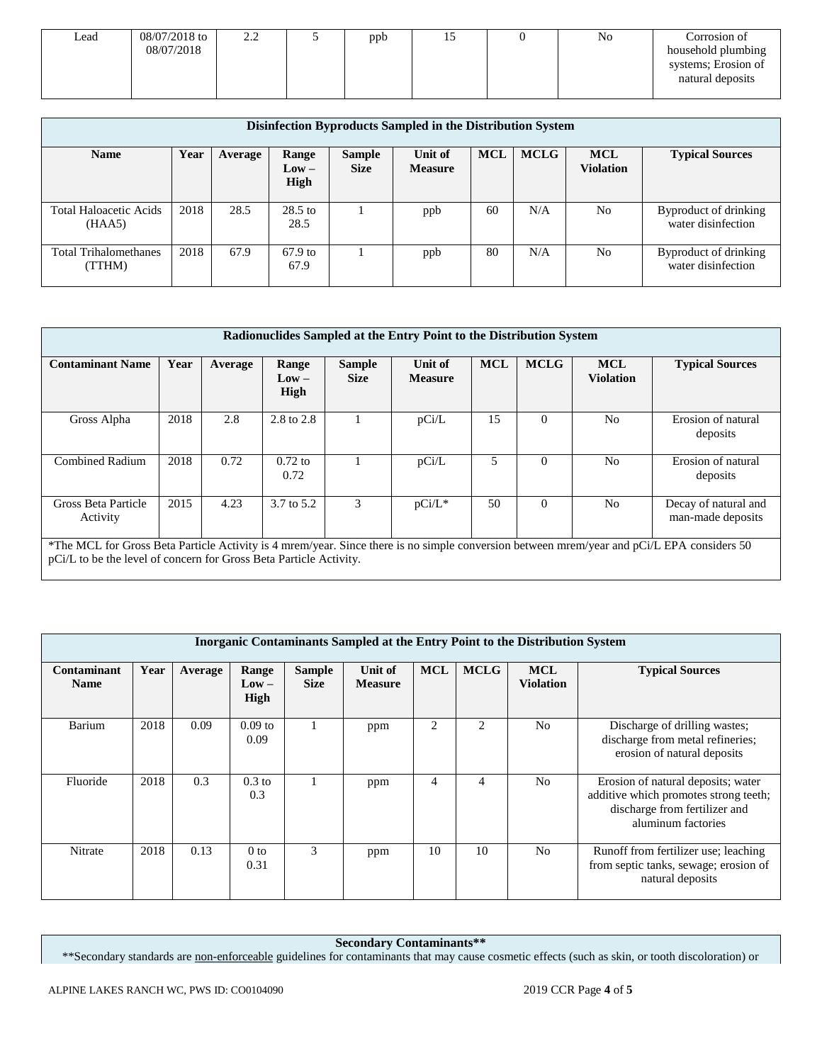| Lead | 08/07/2018 to | 2.L | ppb | IJ | No | Corrosion of        |
|------|---------------|-----|-----|----|----|---------------------|
|      | 08/07/2018    |     |     |    |    | household plumbing  |
|      |               |     |     |    |    | systems; Erosion of |
|      |               |     |     |    |    | natural deposits    |
|      |               |     |     |    |    |                     |

| Disinfection Byproducts Sampled in the Distribution System |      |         |                          |                              |                           |            |             |                         |                                             |  |  |
|------------------------------------------------------------|------|---------|--------------------------|------------------------------|---------------------------|------------|-------------|-------------------------|---------------------------------------------|--|--|
| <b>Name</b>                                                | Year | Average | Range<br>$Low -$<br>High | <b>Sample</b><br><b>Size</b> | Unit of<br><b>Measure</b> | <b>MCL</b> | <b>MCLG</b> | <b>MCL</b><br>Violation | <b>Typical Sources</b>                      |  |  |
| <b>Total Haloacetic Acids</b><br>(HAA5)                    | 2018 | 28.5    | $28.5$ to<br>28.5        |                              | ppb                       | 60         | N/A         | N <sub>0</sub>          | Byproduct of drinking<br>water disinfection |  |  |
| <b>Total Trihalomethanes</b><br>(TTHM)                     | 2018 | 67.9    | $67.9$ to<br>67.9        |                              | ppb                       | 80         | N/A         | N <sub>0</sub>          | Byproduct of drinking<br>water disinfection |  |  |

| Radionuclides Sampled at the Entry Point to the Distribution System                                                                                                                                              |      |         |                          |                              |                           |            |             |                                |                                           |  |
|------------------------------------------------------------------------------------------------------------------------------------------------------------------------------------------------------------------|------|---------|--------------------------|------------------------------|---------------------------|------------|-------------|--------------------------------|-------------------------------------------|--|
| <b>Contaminant Name</b>                                                                                                                                                                                          | Year | Average | Range<br>$Low -$<br>High | <b>Sample</b><br><b>Size</b> | Unit of<br><b>Measure</b> | <b>MCL</b> | <b>MCLG</b> | <b>MCL</b><br><b>Violation</b> | <b>Typical Sources</b>                    |  |
| Gross Alpha                                                                                                                                                                                                      | 2018 | 2.8     | 2.8 to 2.8               |                              | pCi/L                     | 15         | $\Omega$    | N <sub>o</sub>                 | Erosion of natural<br>deposits            |  |
| <b>Combined Radium</b>                                                                                                                                                                                           | 2018 | 0.72    | $0.72$ to<br>0.72        |                              | pCi/L                     | 5          | $\Omega$    | N <sub>o</sub>                 | Erosion of natural<br>deposits            |  |
| Gross Beta Particle<br>Activity                                                                                                                                                                                  | 2015 | 4.23    | 3.7 to 5.2               | 3                            | $pCi/L^*$                 | 50         | $\Omega$    | N <sub>o</sub>                 | Decay of natural and<br>man-made deposits |  |
| *The MCL for Gross Beta Particle Activity is 4 mrem/year. Since there is no simple conversion between mrem/year and pCi/L EPA considers 50<br>pCi/L to be the level of concern for Gross Beta Particle Activity. |      |         |                          |                              |                           |            |             |                                |                                           |  |

| <b>Inorganic Contaminants Sampled at the Entry Point to the Distribution System</b> |      |         |                                 |                              |                           |            |                |                                |                                                                                                                                    |  |  |
|-------------------------------------------------------------------------------------|------|---------|---------------------------------|------------------------------|---------------------------|------------|----------------|--------------------------------|------------------------------------------------------------------------------------------------------------------------------------|--|--|
| Contaminant<br><b>Name</b>                                                          | Year | Average | Range<br>$Low -$<br><b>High</b> | <b>Sample</b><br><b>Size</b> | Unit of<br><b>Measure</b> | <b>MCL</b> | <b>MCLG</b>    | <b>MCL</b><br><b>Violation</b> | <b>Typical Sources</b>                                                                                                             |  |  |
| Barium                                                                              | 2018 | 0.09    | $0.09$ to<br>0.09               |                              | ppm                       | 2          | 2              | N <sub>0</sub>                 | Discharge of drilling wastes;<br>discharge from metal refineries;<br>erosion of natural deposits                                   |  |  |
| Fluoride                                                                            | 2018 | 0.3     | $0.3$ to<br>0.3                 |                              | ppm                       | 4          | $\overline{4}$ | N <sub>0</sub>                 | Erosion of natural deposits; water<br>additive which promotes strong teeth;<br>discharge from fertilizer and<br>aluminum factories |  |  |
| Nitrate                                                                             | 2018 | 0.13    | 0 <sub>to</sub><br>0.31         | 3                            | ppm                       | 10         | 10             | N <sub>0</sub>                 | Runoff from fertilizer use; leaching<br>from septic tanks, sewage; erosion of<br>natural deposits                                  |  |  |

**Secondary Contaminants\*\***

\*\*Secondary standards are non-enforceable guidelines for contaminants that may cause cosmetic effects (such as skin, or tooth discoloration) or